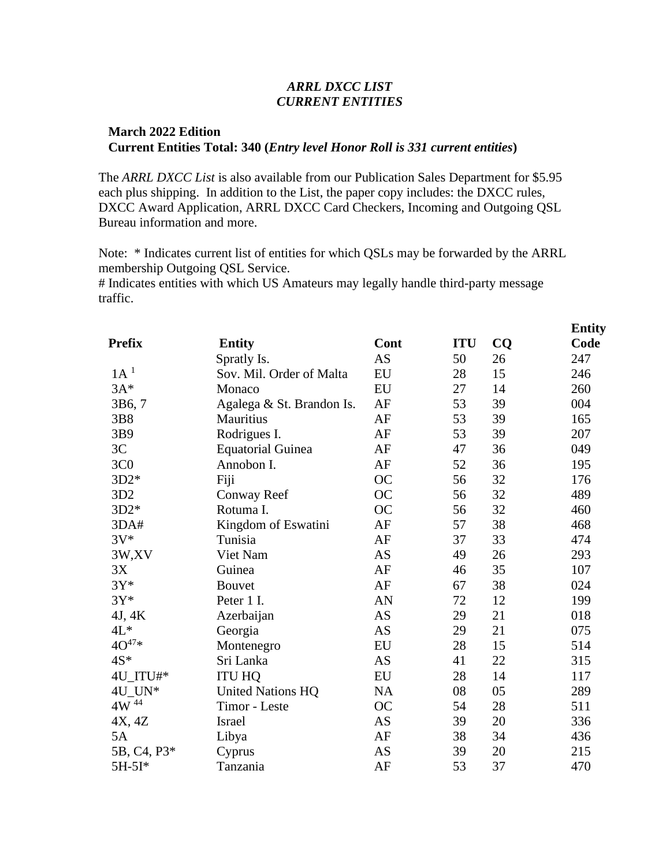# *ARRL DXCC LIST CURRENT ENTITIES*

# **March 2022 Edition Current Entities Total: 340 (***Entry level Honor Roll is 331 current entities***)**

The *ARRL DXCC List* is also available from our Publication Sales Department for \$5.95 each plus shipping. In addition to the List, the paper copy includes: the DXCC rules, DXCC Award Application, ARRL DXCC Card Checkers, Incoming and Outgoing QSL Bureau information and more.

Note: \* Indicates current list of entities for which QSLs may be forwarded by the ARRL membership Outgoing QSL Service.

**Entity**

# Indicates entities with which US Amateurs may legally handle third-party message traffic.

|                       |                           |           |            |           | <u>-------</u> |
|-----------------------|---------------------------|-----------|------------|-----------|----------------|
| <b>Prefix</b>         | <b>Entity</b>             | Cont      | <b>ITU</b> | <b>CQ</b> | Code           |
|                       | Spratly Is.               | <b>AS</b> | 50         | 26        | 247            |
| 1A <sup>1</sup>       | Sov. Mil. Order of Malta  | EU        | 28         | 15        | 246            |
| $3A*$                 | Monaco                    | EU        | 27         | 14        | 260            |
| 3B6,7                 | Agalega & St. Brandon Is. | AF        | 53         | 39        | 004            |
| 3B8                   | Mauritius                 | AF        | 53         | 39        | 165            |
| 3B9                   | Rodrigues I.              | AF        | 53         | 39        | 207            |
| 3C                    | <b>Equatorial Guinea</b>  | AF        | 47         | 36        | 049            |
| 3C <sub>0</sub>       | Annobon I.                | AF        | 52         | 36        | 195            |
| $3D2*$                | Fiji                      | OC        | 56         | 32        | 176            |
| 3D2                   | Conway Reef               | <b>OC</b> | 56         | 32        | 489            |
| $3D2*$                | Rotuma I.                 | <b>OC</b> | 56         | 32        | 460            |
| 3DA#                  | Kingdom of Eswatini       | AF        | 57         | 38        | 468            |
| $3V^*$                | Tunisia                   | AF        | 37         | 33        | 474            |
| 3W,XV                 | Viet Nam                  | <b>AS</b> | 49         | 26        | 293            |
| 3X                    | Guinea                    | AF        | 46         | 35        | 107            |
| $3Y^*$                | <b>Bouvet</b>             | AF        | 67         | 38        | 024            |
| $3Y^*$                | Peter 1 I.                | AN        | 72         | 12        | 199            |
| 4J, 4K                | Azerbaijan                | <b>AS</b> | 29         | 21        | 018            |
| $4L*$                 | Georgia                   | <b>AS</b> | 29         | 21        | 075            |
| $40^{47*}$            | Montenegro                | EU        | 28         | 15        | 514            |
| $4S^*$                | Sri Lanka                 | <b>AS</b> | 41         | 22        | 315            |
| 4U_ITU#*              | <b>ITU HQ</b>             | EU        | 28         | 14        | 117            |
| $4U$ _UN*             | <b>United Nations HQ</b>  | <b>NA</b> | ${\bf 08}$ | 05        | 289            |
| $4\mathrm{W}$ $^{44}$ | Timor - Leste             | OC        | 54         | 28        | 511            |
| 4X, 4Z                | Israel                    | AS        | 39         | 20        | 336            |
| 5A                    | Libya                     | AF        | 38         | 34        | 436            |
| 5B, C4, P3*           | Cyprus                    | AS        | 39         | 20        | 215            |
| 5H-5I*                | Tanzania                  | AF        | 53         | 37        | 470            |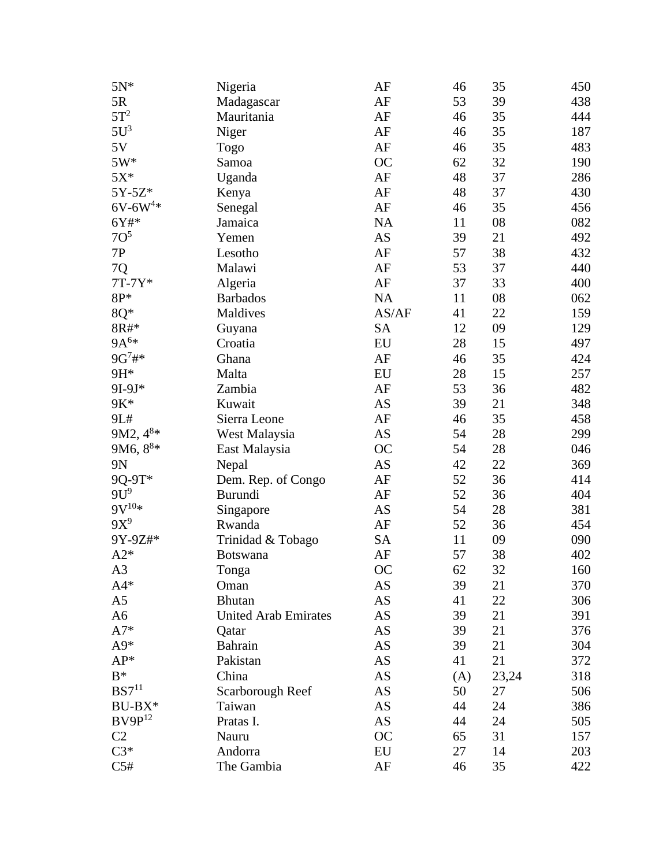| $5N*$                | Nigeria                     | AF                     | 46  | 35    | 450 |
|----------------------|-----------------------------|------------------------|-----|-------|-----|
| 5R                   | Madagascar                  | AF                     | 53  | 39    | 438 |
| $5T^2$               | Mauritania                  | AF                     | 46  | 35    | 444 |
| $5U^3$               | Niger                       | AF                     | 46  | 35    | 187 |
| 5V                   | Togo                        | AF                     | 46  | 35    | 483 |
| $5W*$                | Samoa                       | <b>OC</b>              | 62  | 32    | 190 |
| $5X^*$               | Uganda                      | AF                     | 48  | 37    | 286 |
| 5Y-5Z*               | Kenya                       | AF                     | 48  | 37    | 430 |
| $6V - 6W^{4*}$       | Senegal                     | AF                     | 46  | 35    | 456 |
| 6Y#*                 | Jamaica                     | NA                     | 11  | 08    | 082 |
| 7O <sup>5</sup>      | Yemen                       | AS                     | 39  | 21    | 492 |
| 7P                   | Lesotho                     | AF                     | 57  | 38    | 432 |
| 7Q                   | Malawi                      | $\rm AF$               | 53  | 37    | 440 |
| 7T-7Y*               | Algeria                     | AF                     | 37  | 33    | 400 |
| $8P*$                | <b>Barbados</b>             | NA                     | 11  | 08    | 062 |
| 8Q*                  | Maldives                    | AS/AF                  | 41  | 22    | 159 |
| $8R#*$               | Guyana                      | <b>SA</b>              | 12  | 09    | 129 |
| $9A^{6*}$            | Croatia                     | ${\rm EU}$             | 28  | 15    | 497 |
| $9G^7#$ *            | Ghana                       | AF                     | 46  | 35    | 424 |
| 9H*                  | Malta                       | EU                     | 28  | 15    | 257 |
| 9I-9J*               | Zambia                      | AF                     | 53  | 36    | 482 |
| 9K*                  | Kuwait                      | AS                     | 39  | 21    | 348 |
| 9L#                  | Sierra Leone                | AF                     | 46  | 35    | 458 |
| 9M2, 4 <sup>8*</sup> | West Malaysia               | AS                     | 54  | 28    | 299 |
| 9M6, $8^{8*}$        | East Malaysia               | <b>OC</b>              | 54  | 28    | 046 |
| 9N                   | Nepal                       | AS                     | 42  | 22    | 369 |
| 9Q-9T*               | Dem. Rep. of Congo          | AF                     | 52  | 36    | 414 |
| $9U^9$               | <b>Burundi</b>              | AF                     | 52  | 36    | 404 |
| $9V^{10*}$           | Singapore                   | AS                     | 54  | 28    | 381 |
| $9X^9$               | Rwanda                      | AF                     | 52  | 36    | 454 |
| 9Y-9Z#*              | Trinidad & Tobago           | <b>SA</b>              | 11  | 09    | 090 |
| $A2*$                | <b>Botswana</b>             | AF                     | 57  | 38    | 402 |
| A <sub>3</sub>       | Tonga                       | <b>OC</b>              | 62  | 32    | 160 |
| $A4*$                | Oman                        | AS                     | 39  | 21    | 370 |
| A5                   | <b>Bhutan</b>               | AS                     | 41  | 22    | 306 |
| A6                   | <b>United Arab Emirates</b> | AS                     | 39  | 21    | 391 |
| $A7*$                | Qatar                       | AS                     | 39  | 21    | 376 |
| $A9*$                | Bahrain                     | AS                     | 39  | 21    | 304 |
| AP*                  | Pakistan                    | AS                     | 41  | 21    | 372 |
| $B^*$                | China                       | AS                     | (A) | 23,24 | 318 |
| BS7 <sup>11</sup>    | Scarborough Reef            | $\mathbf{A}\mathbf{S}$ | 50  | 27    | 506 |
| $BU-BX*$             | Taiwan                      | AS                     | 44  | 24    | 386 |
| $BV9P^{12}$          | Pratas I.                   | AS                     | 44  | 24    | 505 |
| C <sub>2</sub>       | Nauru                       | <b>OC</b>              | 65  | 31    | 157 |
| $C3*$                | Andorra                     | EU                     | 27  | 14    | 203 |
| C5#                  | The Gambia                  | AF                     | 46  | 35    | 422 |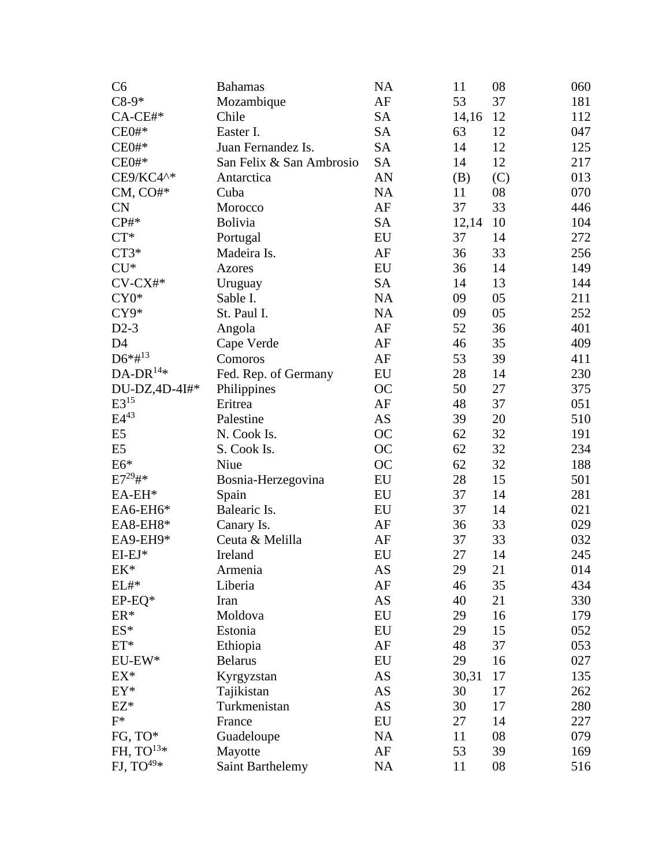| C6              | <b>Bahamas</b>           | <b>NA</b>  | 11    | 08  | 060 |
|-----------------|--------------------------|------------|-------|-----|-----|
| $C8-9*$         | Mozambique               | AF         | 53    | 37  | 181 |
| $CA$ -CE#*      | Chile                    | <b>SA</b>  | 14,16 | 12  | 112 |
| CE0#            | Easter I.                | <b>SA</b>  | 63    | 12  | 047 |
| CE0#            | Juan Fernandez Is.       | <b>SA</b>  | 14    | 12  | 125 |
| CE0#            | San Felix & San Ambrosio | <b>SA</b>  | 14    | 12  | 217 |
| CE9/KC4^*       | Antarctica               | AN         | (B)   | (C) | 013 |
| $CM, CO#*$      | Cuba                     | <b>NA</b>  | 11    | 08  | 070 |
| <b>CN</b>       | Morocco                  | $\rm AF$   | 37    | 33  | 446 |
| CP#             | <b>Bolivia</b>           | <b>SA</b>  | 12,14 | 10  | 104 |
| $CT^*$          | Portugal                 | EU         | 37    | 14  | 272 |
| $CT3*$          | Madeira Is.              | AF         | 36    | 33  | 256 |
| $CU*$           | <b>Azores</b>            | EU         | 36    | 14  | 149 |
| $CV-CX#*$       | Uruguay                  | <b>SA</b>  | 14    | 13  | 144 |
| $CY0*$          | Sable I.                 | NA         | 09    | 05  | 211 |
| CY9*            | St. Paul I.              | NA         | 09    | 05  | 252 |
| $D2-3$          | Angola                   | AF         | 52    | 36  | 401 |
| D <sub>4</sub>  | Cape Verde               | AF         | 46    | 35  | 409 |
| $D6*#^{13}$     | Comoros                  | $\rm AF$   | 53    | 39  | 411 |
| $DA-DR^{14*}$   | Fed. Rep. of Germany     | EU         | 28    | 14  | 230 |
| DU-DZ,4D-4I#*   | Philippines              | <b>OC</b>  | 50    | 27  | 375 |
| $E3^{15}$       | Eritrea                  | $\rm AF$   | 48    | 37  | 051 |
| $E4^{43}$       | Palestine                | <b>AS</b>  | 39    | 20  | 510 |
| E <sub>5</sub>  | N. Cook Is.              | <b>OC</b>  | 62    | 32  | 191 |
| E <sub>5</sub>  | S. Cook Is.              | <b>OC</b>  | 62    | 32  | 234 |
| $E6*$           | Niue                     | <b>OC</b>  | 62    | 32  | 188 |
| $E7^{29}$ #*    | Bosnia-Herzegovina       | ${\rm EU}$ | 28    | 15  | 501 |
| $EA$ -EH $*$    | Spain                    | EU         | 37    | 14  | 281 |
| EA6-EH6*        | Balearic Is.             | EU         | 37    | 14  | 021 |
| EA8-EH8*        | Canary Is.               | AF         | 36    | 33  | 029 |
| EA9-EH9*        | Ceuta & Melilla          | AF         | 37    | 33  | 032 |
| EI-EJ*          | Ireland                  | EU         | 27    | 14  | 245 |
| $EK^*$          | Armenia                  | AS         | 29    | 21  | 014 |
| $\text{EL}\#^*$ | Liberia                  | AF         | 46    | 35  | 434 |
| $EP-EQ*$        | Iran                     | AS         | 40    | 21  | 330 |
| $ER*$           | Moldova                  | EU         | 29    | 16  | 179 |
| $ES*$           | Estonia                  | EU         | 29    | 15  | 052 |
| $ET*$           | Ethiopia                 | AF         | 48    | 37  | 053 |
| $EU$ -EW*       | <b>Belarus</b>           | ${\rm EU}$ | 29    | 16  | 027 |
| $EX^*$          | Kyrgyzstan               | AS         | 30,31 | 17  | 135 |
| $EY^*$          | Tajikistan               | AS         | 30    | 17  | 262 |
| $EZ*$           | Turkmenistan             | AS         | 30    | 17  | 280 |
| $F^*$           | France                   | EU         | 27    | 14  | 227 |
| FG, TO*         | Guadeloupe               | <b>NA</b>  | 11    | 08  | 079 |
| FH, $TO^{13*}$  | Mayotte                  | AF         | 53    | 39  | 169 |
| FJ, $TO^{49*}$  | <b>Saint Barthelemy</b>  | $\rm NA$   | 11    | 08  | 516 |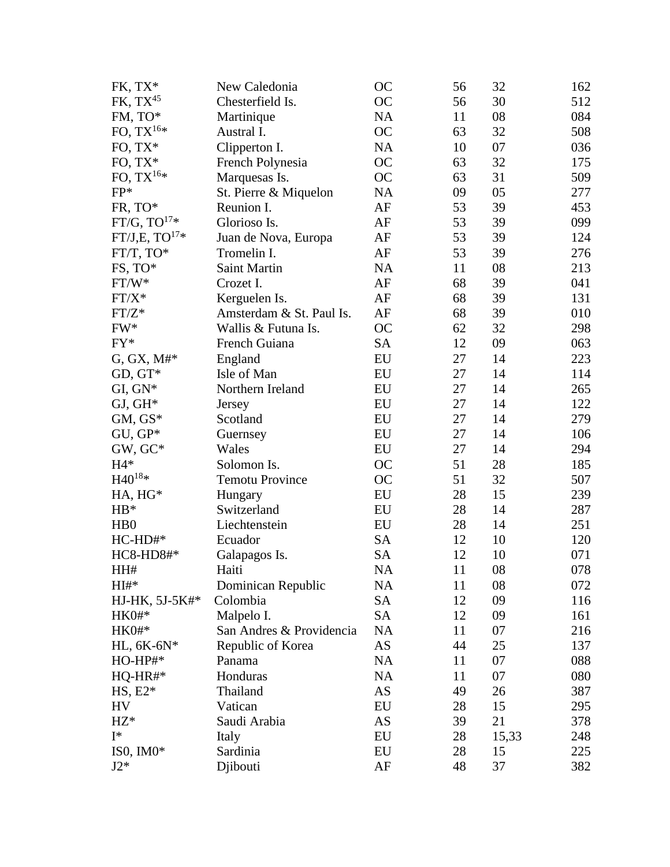| FK, TX*                     | New Caledonia            | <b>OC</b> | 56 | 32    | 162 |
|-----------------------------|--------------------------|-----------|----|-------|-----|
| $FK, TX^{45}$               | Chesterfield Is.         | <b>OC</b> | 56 | 30    | 512 |
| FM, TO*                     | Martinique               | <b>NA</b> | 11 | 08    | 084 |
| FO, $\text{TX}^{16\ast}$    | Austral I.               | <b>OC</b> | 63 | 32    | 508 |
| FO, TX*                     | Clipperton I.            | NA        | 10 | 07    | 036 |
| FO, $TX^*$                  | French Polynesia         | <b>OC</b> | 63 | 32    | 175 |
| FO, $TX^{16*}$              | Marquesas Is.            | <b>OC</b> | 63 | 31    | 509 |
| FP*                         | St. Pierre & Miquelon    | <b>NA</b> | 09 | 05    | 277 |
| FR, TO*                     | Reunion I.               | AF        | 53 | 39    | 453 |
| FT/G, $TO^{17*}$            | Glorioso Is.             | AF        | 53 | 39    | 099 |
| FT/J,E, $TO^{17*}$          | Juan de Nova, Europa     | AF        | 53 | 39    | 124 |
| $FT/T, TO*$                 | Tromelin I.              | $\rm AF$  | 53 | 39    | 276 |
| FS, TO*                     | Saint Martin             | <b>NA</b> | 11 | 08    | 213 |
| $FT/W^*$                    | Crozet I.                | AF        | 68 | 39    | 041 |
| $FT/X^*$                    | Kerguelen Is.            | AF        | 68 | 39    | 131 |
| $FT/Z^*$                    | Amsterdam & St. Paul Is. | $\rm AF$  | 68 | 39    | 010 |
| FW*                         | Wallis & Futuna Is.      | <b>OC</b> | 62 | 32    | 298 |
| FY*                         | French Guiana            | <b>SA</b> | 12 | 09    | 063 |
| $G, GX, M#*$                | England                  | EU        | 27 | 14    | 223 |
| GD, GT*                     | Isle of Man              | EU        | 27 | 14    | 114 |
| $GI, GN*$                   | Northern Ireland         | EU        | 27 | 14    | 265 |
| $GJ, GH^*$                  | <b>Jersey</b>            | EU        | 27 | 14    | 122 |
| $GM, GS^*$                  | Scotland                 | EU        | 27 | 14    | 279 |
| GU, GP*                     | Guernsey                 | EU        | 27 | 14    | 106 |
| GW, GC*                     | Wales                    | EU        | 27 | 14    | 294 |
| $H4*$                       | Solomon Is.              | <b>OC</b> | 51 | 28    | 185 |
| $\rm H40^{18*}$             | <b>Temotu Province</b>   | <b>OC</b> | 51 | 32    | 507 |
| HA, HG*                     | Hungary                  | EU        | 28 | 15    | 239 |
| $HB*$                       | Switzerland              | EU        | 28 | 14    | 287 |
| H <sub>B</sub> <sup>0</sup> | Liechtenstein            | EU        | 28 | 14    | 251 |
| $HC-HD#*$                   | Ecuador                  | <b>SA</b> | 12 | 10    | 120 |
| HC8-HD8#*                   | Galapagos Is.            | <b>SA</b> | 12 | 10    | 071 |
| HH#                         | Haiti                    | <b>NA</b> | 11 | 08    | 078 |
| $HI#*$                      | Dominican Republic       | <b>NA</b> | 11 | 08    | 072 |
| HJ-HK, 5J-5K#*              | Colombia                 | <b>SA</b> | 12 | 09    | 116 |
| HK0#*                       | Malpelo I.               | <b>SA</b> | 12 | 09    | 161 |
| $HK0#*$                     | San Andres & Providencia | <b>NA</b> | 11 | 07    | 216 |
| HL, 6K-6N*                  | Republic of Korea        | AS        | 44 | 25    | 137 |
| HO-HP#*                     | Panama                   | <b>NA</b> | 11 | 07    | 088 |
| $HQ-HR#*$                   | Honduras                 | <b>NA</b> | 11 | 07    | 080 |
| $HS, E2*$                   | Thailand                 | AS        | 49 | 26    | 387 |
| HV                          | Vatican                  | EU        | 28 | 15    | 295 |
| $HZ*$                       | Saudi Arabia             | AS        | 39 | 21    | 378 |
| $I^*$                       | Italy                    | EU        | 28 | 15,33 | 248 |
| ISO, IMO $*$                | Sardinia                 | EU        | 28 | 15    | 225 |
| $J2*$                       | Djibouti                 | AF        | 48 | 37    | 382 |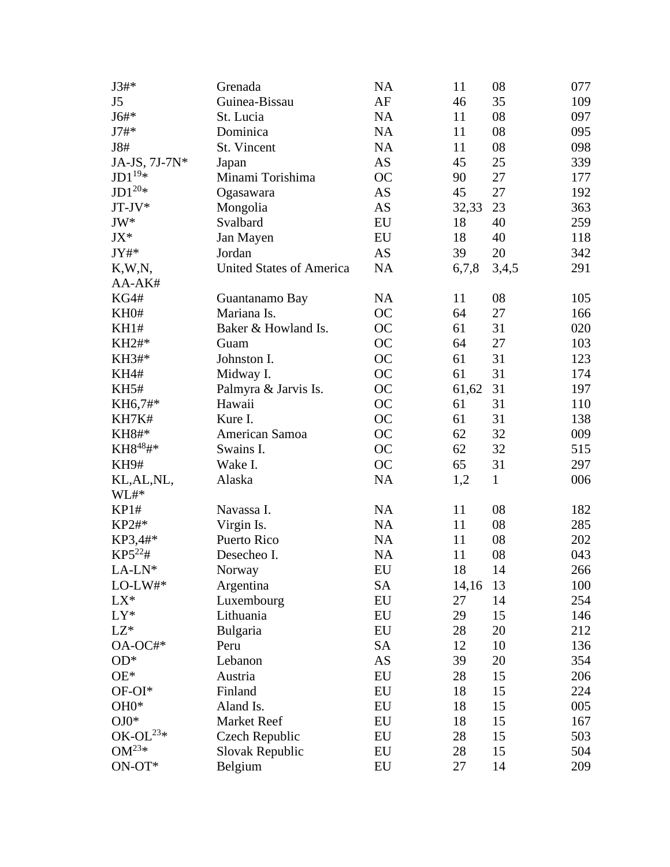| $J3#*$               | Grenada                         | <b>NA</b>  | 11    | 08           | 077 |
|----------------------|---------------------------------|------------|-------|--------------|-----|
| J5                   | Guinea-Bissau                   | AF         | 46    | 35           | 109 |
| J6#*                 | St. Lucia                       | <b>NA</b>  | 11    | 08           | 097 |
| $J7#*$               | Dominica                        | NA         | 11    | 08           | 095 |
| J8#                  | St. Vincent                     | NA         | 11    | 08           | 098 |
| JA-JS, 7J-7N*        | Japan                           | <b>AS</b>  | 45    | 25           | 339 |
| $JD1^{19*}$          | Minami Torishima                | <b>OC</b>  | 90    | 27           | 177 |
| $\rm JD1^{20*}$      | Ogasawara                       | <b>AS</b>  | 45    | 27           | 192 |
| JT-JV*               | Mongolia                        | <b>AS</b>  | 32,33 | 23           | 363 |
| JW*                  | Svalbard                        | EU         | 18    | 40           | 259 |
| JX*                  | Jan Mayen                       | EU         | 18    | 40           | 118 |
| JY#*                 | Jordan                          | <b>AS</b>  | 39    | 20           | 342 |
| K,W,N,               | <b>United States of America</b> | NA         | 6,7,8 | 3,4,5        | 291 |
| AA-AK#               |                                 |            |       |              |     |
| KG4#                 | Guantanamo Bay                  | <b>NA</b>  | 11    | 08           | 105 |
| KH0#                 | Mariana Is.                     | OC         | 64    | 27           | 166 |
| KH1#                 | Baker & Howland Is.             | OC         | 61    | 31           | 020 |
| KH2#*                | Guam                            | OC         | 64    | 27           | 103 |
| KH3#*                | Johnston I.                     | <b>OC</b>  | 61    | 31           | 123 |
| <b>KH4#</b>          | Midway I.                       | <b>OC</b>  | 61    | 31           | 174 |
| <b>KH5#</b>          | Palmyra & Jarvis Is.            | OC         | 61,62 | 31           | 197 |
| KH6,7#*              | Hawaii                          | <b>OC</b>  | 61    | 31           | 110 |
| KH7K#                | Kure I.                         | OC         | 61    | 31           | 138 |
| KH8#*                | American Samoa                  | OC         | 62    | 32           | 009 |
| KH8 <sup>48</sup> #* | Swains I.                       | <b>OC</b>  | 62    | 32           | 515 |
| <b>KH9#</b>          | Wake I.                         | <b>OC</b>  | 65    | 31           | 297 |
| KL, AL, NL,          | Alaska                          | NA         | 1,2   | $\mathbf{1}$ | 006 |
| $WL#$ *              |                                 |            |       |              |     |
| KP1#                 | Navassa I.                      | NA         | 11    | 08           | 182 |
| KP2#*                | Virgin Is.                      | <b>NA</b>  | 11    | 08           | 285 |
| KP3,4#*              | Puerto Rico                     | NA         | 11    | 08           | 202 |
| $KP5^{22}$ #         | Desecheo I.                     | NA         | 11    | 08           | 043 |
| $LA-LN*$             | Norway                          | ${\rm EU}$ | 18    | 14           | 266 |
| $\text{LO-LW}\#^*$   | Argentina                       | SA         | 14,16 | 13           | 100 |
| $LX^*$               | Luxembourg                      | EU         | 27    | 14           | 254 |
| $LY^*$               | Lithuania                       | EU         | 29    | 15           | 146 |
| $LZ^*$               | Bulgaria                        | EU         | 28    | 20           | 212 |
| OA-OC#*              | Peru                            | <b>SA</b>  | 12    | 10           | 136 |
| $OD^*$               | Lebanon                         | AS         | 39    | 20           | 354 |
| $OE*$                | Austria                         | EU         | 28    | 15           | 206 |
| OF-OI*               | Finland                         | EU         | 18    | 15           | 224 |
| OH0*                 | Aland Is.                       | EU         | 18    | 15           | 005 |
| $\mathrm{O J 0^*}$   | Market Reef                     | EU         | 18    | 15           | 167 |
| OK-OL $^{23*}$       | Czech Republic                  | EU         | 28    | 15           | 503 |
| $OM^{23*}$           | Slovak Republic                 | EU         | 28    | 15           | 504 |
| $ON-OT*$             | Belgium                         | EU         | 27    | 14           | 209 |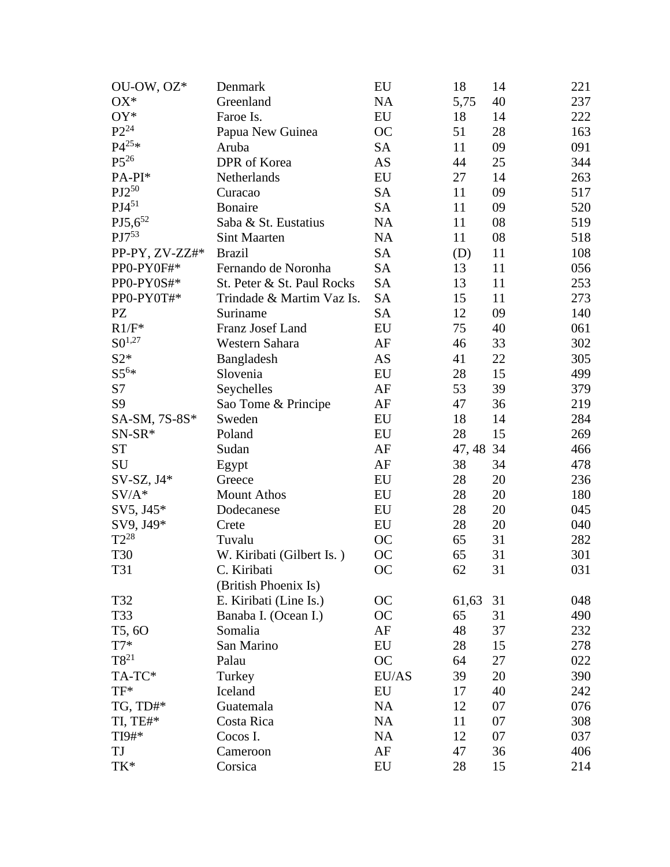| OU-OW, OZ*     | Denmark                    | EU         | 18        | 14 | 221 |
|----------------|----------------------------|------------|-----------|----|-----|
| $OX^*$         | Greenland                  | <b>NA</b>  | 5,75      | 40 | 237 |
| OY*            | Faroe Is.                  | EU         | 18        | 14 | 222 |
| $P2^{24}$      | Papua New Guinea           | <b>OC</b>  | 51        | 28 | 163 |
| $P4^{25*}$     | Aruba                      | <b>SA</b>  | 11        | 09 | 091 |
| $P5^{26}$      | DPR of Korea               | AS         | 44        | 25 | 344 |
| PA-PI*         | Netherlands                | EU         | 27        | 14 | 263 |
| $PJ2^{50}$     | Curacao                    | <b>SA</b>  | 11        | 09 | 517 |
| $PJ4^{51}$     | <b>Bonaire</b>             | <b>SA</b>  | 11        | 09 | 520 |
| $PJ5,6^{52}$   | Saba & St. Eustatius       | <b>NA</b>  | 11        | 08 | 519 |
| $PJ7^{53}$     | <b>Sint Maarten</b>        | <b>NA</b>  | 11        | 08 | 518 |
| PP-PY, ZV-ZZ#* | <b>Brazil</b>              | <b>SA</b>  | (D)       | 11 | 108 |
| PP0-PY0F#*     | Fernando de Noronha        | <b>SA</b>  | 13        | 11 | 056 |
| PP0-PY0S#*     | St. Peter & St. Paul Rocks | <b>SA</b>  | 13        | 11 | 253 |
| PP0-PY0T#*     | Trindade & Martim Vaz Is.  | <b>SA</b>  | 15        | 11 | 273 |
| PZ             | Suriname                   | <b>SA</b>  | 12        | 09 | 140 |
| $R1/F^*$       | Franz Josef Land           | EU         | 75        | 40 | 061 |
| $S0^{1,27}$    | Western Sahara             | AF         | 46        | 33 | 302 |
| $S2*$          | Bangladesh                 | AS         | 41        | 22 | 305 |
| $S5^{6*}$      | Slovenia                   | EU         | 28        | 15 | 499 |
| S7             | Seychelles                 | AF         | 53        | 39 | 379 |
| S <sub>9</sub> | Sao Tome & Principe        | AF         | 47        | 36 | 219 |
| SA-SM, 7S-8S*  | Sweden                     | EU         | 18        | 14 | 284 |
| SN-SR*         | Poland                     | EU         | 28        | 15 | 269 |
| <b>ST</b>      | Sudan                      | AF         | 47, 48 34 |    | 466 |
| SU             | Egypt                      | AF         | 38        | 34 | 478 |
| SV-SZ, J4*     | Greece                     | EU         | 28        | 20 | 236 |
| $SV/A*$        | <b>Mount Athos</b>         | EU         | 28        | 20 | 180 |
| SV5, J45*      | Dodecanese                 | EU         | 28        | 20 | 045 |
| SV9, J49*      | Crete                      | EU         | 28        | 20 | 040 |
| $T2^{28}$      | Tuvalu                     | <b>OC</b>  | 65        | 31 | 282 |
| <b>T30</b>     | W. Kiribati (Gilbert Is.)  | <b>OC</b>  | 65        | 31 | 301 |
| T31            | C. Kiribati                | <b>OC</b>  | 62        | 31 | 031 |
|                | (British Phoenix Is)       |            |           |    |     |
| T32            | E. Kiribati (Line Is.)     | OC         | 61,63     | 31 | 048 |
| T33            | Banaba I. (Ocean I.)       | <b>OC</b>  | 65        | 31 | 490 |
| T5,60          | Somalia                    | AF         | 48        | 37 | 232 |
| $T7*$          | San Marino                 | EU         | 28        | 15 | 278 |
| $T8^{21}$      | Palau                      | <b>OC</b>  | 64        | 27 | 022 |
| TA-TC*         | Turkey                     | EU/AS      | 39        | 20 | 390 |
| $TF^*$         | Iceland                    | EU         | 17        | 40 | 242 |
| TG, TD#*       | Guatemala                  | <b>NA</b>  | 12        | 07 | 076 |
| TI, TE#*       | Costa Rica                 | <b>NA</b>  | 11        | 07 | 308 |
| TI9#*          | Cocos I.                   | <b>NA</b>  | 12        | 07 | 037 |
| TJ             | Cameroon                   | AF         | 47        | 36 | 406 |
| TK*            | Corsica                    | ${\rm EU}$ | 28        | 15 | 214 |
|                |                            |            |           |    |     |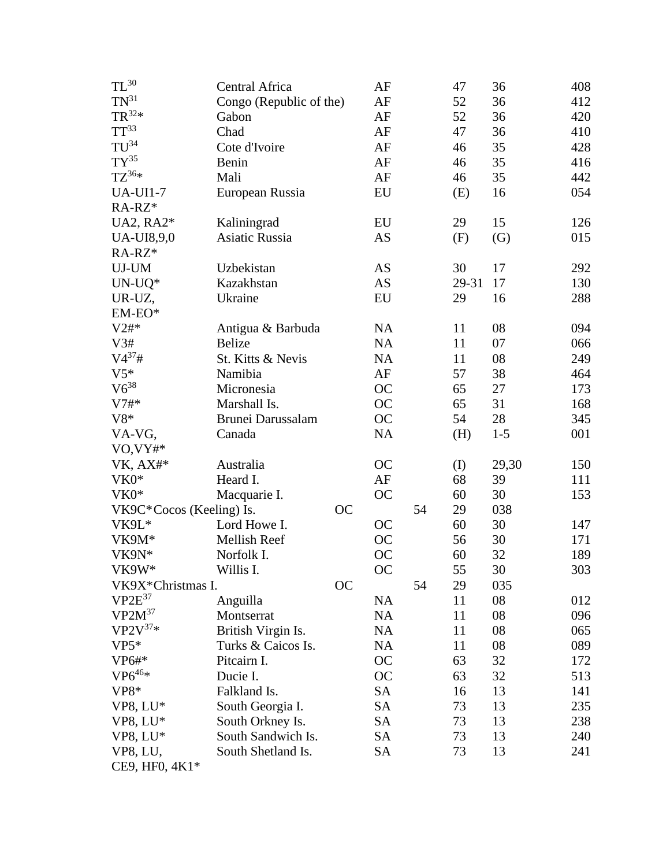| $\mathrm{TL}^{30}$       | Central Africa          |           | AF        |    | 47    | 36    | 408 |
|--------------------------|-------------------------|-----------|-----------|----|-------|-------|-----|
| $\mathrm{TN}^{31}$       | Congo (Republic of the) |           | AF        |    | 52    | 36    | 412 |
| $TR^{32*}$               | Gabon                   |           | AF        |    | 52    | 36    | 420 |
| $TT^{33}$                | Chad                    |           | AF        |    | 47    | 36    | 410 |
| $TU^{34}$                | Cote d'Ivoire           |           | AF        |    | 46    | 35    | 428 |
| $TY^{35}$                | Benin                   |           | AF        |    | 46    | 35    | 416 |
| $TZ^{36*}$               | Mali                    |           | AF        |    | 46    | 35    | 442 |
| <b>UA-UI1-7</b>          | European Russia         |           | EU        |    | (E)   | 16    | 054 |
| RA-RZ*                   |                         |           |           |    |       |       |     |
| UA2, RA2*                | Kaliningrad             |           | EU        |    | 29    | 15    | 126 |
| <b>UA-UI8,9,0</b>        | <b>Asiatic Russia</b>   |           | AS        |    | (F)   | (G)   | 015 |
| RA-RZ*                   |                         |           |           |    |       |       |     |
| UJ-UM                    | Uzbekistan              |           | AS        |    | 30    | 17    | 292 |
| $UN- UQ*$                | Kazakhstan              |           | AS        |    | 29-31 | 17    | 130 |
| UR-UZ,                   | Ukraine                 |           | EU        |    | 29    | 16    | 288 |
| $EM-EO^*$                |                         |           |           |    |       |       |     |
| V2#                      | Antigua & Barbuda       |           | NA        |    | 11    | 08    | 094 |
| V3#                      | <b>Belize</b>           |           | <b>NA</b> |    | 11    | 07    | 066 |
| $V4^{37}$ #              | St. Kitts & Nevis       |           | <b>NA</b> |    | 11    | 08    | 249 |
| $V5*$                    | Namibia                 |           | AF        |    | 57    | 38    | 464 |
| $V6^{38}$                | Micronesia              |           | <b>OC</b> |    | 65    | 27    | 173 |
| $V7#*$                   | Marshall Is.            |           | <b>OC</b> |    | 65    | 31    | 168 |
| $V8*$                    | Brunei Darussalam       |           | OC        |    | 54    | 28    | 345 |
| VA-VG,                   | Canada                  |           | NA        |    | (H)   | $1-5$ | 001 |
| VO, VY#*                 |                         |           |           |    |       |       |     |
| VK, AX#*                 | Australia               |           | <b>OC</b> |    | (I)   | 29,30 | 150 |
| VK0*                     | Heard I.                |           | AF        |    | 68    | 39    | 111 |
| VK0*                     | Macquarie I.            |           | <b>OC</b> |    | 60    | 30    | 153 |
| VK9C*Cocos (Keeling) Is. |                         | <b>OC</b> |           | 54 | 29    | 038   |     |
| VK9L*                    | Lord Howe I.            |           | <b>OC</b> |    | 60    | 30    | 147 |
| VK9M*                    | Mellish Reef            |           | <b>OC</b> |    | 56    | 30    | 171 |
| VK9N*                    | Norfolk I.              |           | <b>OC</b> |    | 60    | 32    | 189 |
| VK9W*                    | Willis I.               |           | <b>OC</b> |    | 55    | 30    | 303 |
| VK9X*Christmas I.        |                         | <b>OC</b> |           | 54 | 29    | 035   |     |
| $VP2E^{37}$              | Anguilla                |           | <b>NA</b> |    | 11    | 08    | 012 |
| $VP2M^{37}$              | Montserrat              |           | NA        |    | 11    | 08    | 096 |
| $VP2V^{37*}$             | British Virgin Is.      |           | <b>NA</b> |    | 11    | 08    | 065 |
| $VP5*$                   | Turks & Caicos Is.      |           | <b>NA</b> |    | 11    | 08    | 089 |
| VP6#                     | Pitcairn I.             |           | OC        |    | 63    | 32    | 172 |
| $VP6^{46*}$              | Ducie I.                |           | <b>OC</b> |    | 63    | 32    | 513 |
| $VP8*$                   | Falkland Is.            |           | <b>SA</b> |    | 16    | 13    | 141 |
| VP8, LU*                 | South Georgia I.        |           | <b>SA</b> |    | 73    | 13    | 235 |
| VP8, LU*                 | South Orkney Is.        |           | <b>SA</b> |    | 73    | 13    | 238 |
| VP8, LU*                 | South Sandwich Is.      |           | <b>SA</b> |    | 73    | 13    | 240 |
| VP8, LU,                 | South Shetland Is.      |           | <b>SA</b> |    | 73    | 13    | 241 |
| CE9, HF0, 4K1*           |                         |           |           |    |       |       |     |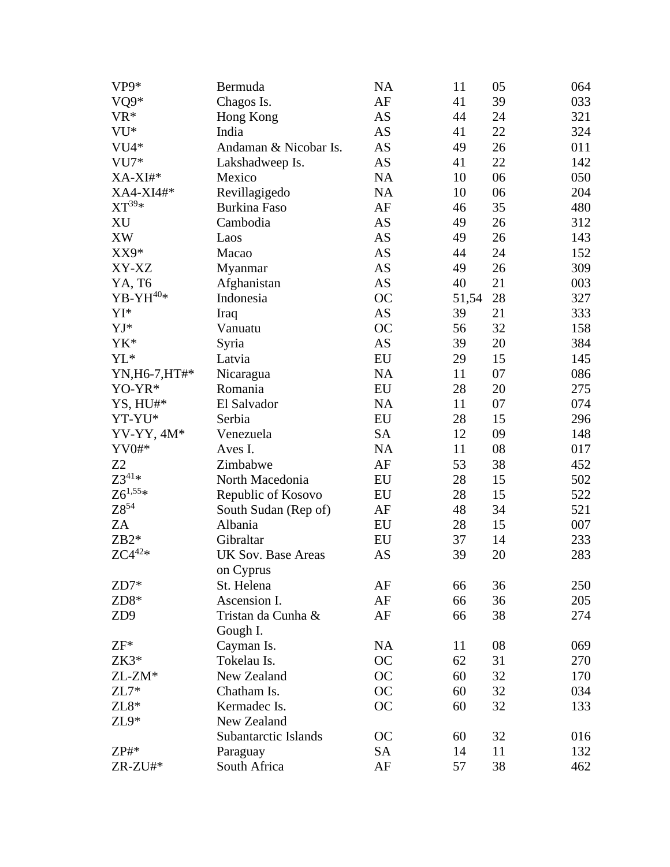| VP9*                       | Bermuda                   | <b>NA</b>  | 11    | 05 | 064 |
|----------------------------|---------------------------|------------|-------|----|-----|
| VQ9*                       | Chagos Is.                | $\rm AF$   | 41    | 39 | 033 |
| VR*                        | Hong Kong                 | AS         | 44    | 24 | 321 |
| VU*                        | India                     | AS         | 41    | 22 | 324 |
| VU4*                       | Andaman & Nicobar Is.     | AS         | 49    | 26 | 011 |
| $VU7*$                     | Lakshadweep Is.           | AS         | 41    | 22 | 142 |
| XA-XI#*                    | Mexico                    | <b>NA</b>  | 10    | 06 | 050 |
| XA4-XI4#*                  | Revillagigedo             | <b>NA</b>  | 10    | 06 | 204 |
| $XT^{39*}$                 | <b>Burkina Faso</b>       | $\rm AF$   | 46    | 35 | 480 |
| ΧU                         | Cambodia                  | AS         | 49    | 26 | 312 |
| <b>XW</b>                  | Laos                      | AS         | 49    | 26 | 143 |
| XX9*                       | Macao                     | AS         | 44    | 24 | 152 |
| XY-XZ                      | Myanmar                   | AS         | 49    | 26 | 309 |
| YA, T6                     | Afghanistan               | AS         | 40    | 21 | 003 |
| ${\rm YB\text{-}YH^{40*}}$ | Indonesia                 | <b>OC</b>  | 51,54 | 28 | 327 |
| YI*                        | Iraq                      | <b>AS</b>  | 39    | 21 | 333 |
| $YJ^*$                     | Vanuatu                   | <b>OC</b>  | 56    | 32 | 158 |
| YK*                        | Syria                     | AS         | 39    | 20 | 384 |
| YL <sup>*</sup>            | Latvia                    | ${\rm EU}$ | 29    | 15 | 145 |
| YN, H6-7, HT#*             | Nicaragua                 | <b>NA</b>  | 11    | 07 | 086 |
| YO-YR*                     | Romania                   | EU         | 28    | 20 | 275 |
| YS, HU#*                   | El Salvador               | <b>NA</b>  | 11    | 07 | 074 |
| YT-YU*                     | Serbia                    | ${\rm EU}$ | 28    | 15 | 296 |
| $YY-YY, 4M*$               | Venezuela                 | <b>SA</b>  | 12    | 09 | 148 |
| $YV0#*$                    | Aves I.                   | <b>NA</b>  | 11    | 08 | 017 |
| Z <sub>2</sub>             | Zimbabwe                  | AF         | 53    | 38 | 452 |
| $Z3^{41*}$                 | North Macedonia           | EU         | 28    | 15 | 502 |
| $Z6^{1,55*}$               | Republic of Kosovo        | EU         | 28    | 15 | 522 |
| ${\rm Z}8^{54}$            | South Sudan (Rep of)      | AF         | 48    | 34 | 521 |
| ZA                         | Albania                   | EU         | 28    | 15 | 007 |
| $ZB2*$                     | Gibraltar                 | EU         | 37    | 14 | 233 |
| $ZC4^{42*}$                | <b>UK Sov. Base Areas</b> | AS         | 39    | 20 | 283 |
|                            | on Cyprus                 |            |       |    |     |
| $ZD7*$                     | St. Helena                | AF         | 66    | 36 | 250 |
| ZD8*                       | Ascension I.              | AF         | 66    | 36 | 205 |
| ZD9                        | Tristan da Cunha &        | AF         | 66    | 38 | 274 |
|                            | Gough I.                  |            |       |    |     |
| $ZF^*$                     | Cayman Is.                | <b>NA</b>  | 11    | 08 | 069 |
| $ZK3*$                     | Tokelau Is.               | <b>OC</b>  | 62    | 31 | 270 |
| ZL-ZM*                     | New Zealand               | <b>OC</b>  | 60    | 32 | 170 |
| $ZL7*$                     | Chatham Is.               | <b>OC</b>  | 60    | 32 | 034 |
| $ZL8*$                     | Kermadec Is.              | <b>OC</b>  | 60    | 32 | 133 |
| $ZL9*$                     | New Zealand               |            |       |    |     |
|                            | Subantarctic Islands      | OC         | 60    | 32 | 016 |
| $ZP#*$                     | Paraguay                  | <b>SA</b>  | 14    | 11 | 132 |
| $ZR-ZU#*$                  | South Africa              | $\rm AF$   | 57    | 38 | 462 |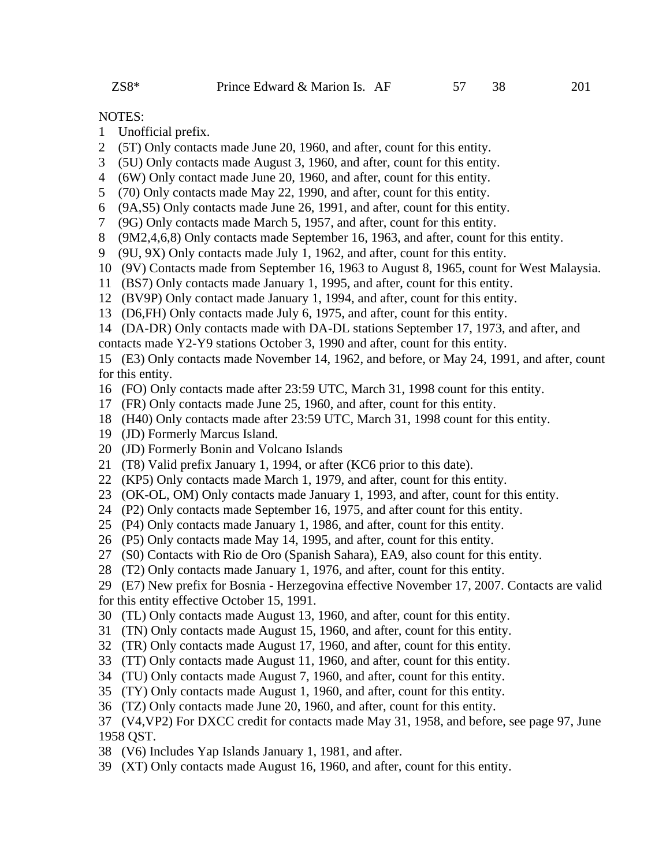### NOTES:

- 1 Unofficial prefix.
- 2 (5T) Only contacts made June 20, 1960, and after, count for this entity.
- 3 (5U) Only contacts made August 3, 1960, and after, count for this entity.
- 4 (6W) Only contact made June 20, 1960, and after, count for this entity.
- 5 (70) Only contacts made May 22, 1990, and after, count for this entity.
- 6 (9A,S5) Only contacts made June 26, 1991, and after, count for this entity.
- 7 (9G) Only contacts made March 5, 1957, and after, count for this entity.
- 8 (9M2,4,6,8) Only contacts made September 16, 1963, and after, count for this entity.
- 9 (9U, 9X) Only contacts made July 1, 1962, and after, count for this entity.
- 10 (9V) Contacts made from September 16, 1963 to August 8, 1965, count for West Malaysia.
- 11 (BS7) Only contacts made January 1, 1995, and after, count for this entity.
- 12 (BV9P) Only contact made January 1, 1994, and after, count for this entity.
- 13 (D6,FH) Only contacts made July 6, 1975, and after, count for this entity.
- 14 (DA-DR) Only contacts made with DA-DL stations September 17, 1973, and after, and
- contacts made Y2-Y9 stations October 3, 1990 and after, count for this entity.

15 (E3) Only contacts made November 14, 1962, and before, or May 24, 1991, and after, count for this entity.

- 16 (FO) Only contacts made after 23:59 UTC, March 31, 1998 count for this entity.
- 17 (FR) Only contacts made June 25, 1960, and after, count for this entity.
- 18 (H40) Only contacts made after 23:59 UTC, March 31, 1998 count for this entity.
- 19 (JD) Formerly Marcus Island.
- 20 (JD) Formerly Bonin and Volcano Islands
- 21 (T8) Valid prefix January 1, 1994, or after (KC6 prior to this date).
- 22 (KP5) Only contacts made March 1, 1979, and after, count for this entity.
- 23 (OK-OL, OM) Only contacts made January 1, 1993, and after, count for this entity.
- 24 (P2) Only contacts made September 16, 1975, and after count for this entity.
- 25 (P4) Only contacts made January 1, 1986, and after, count for this entity.
- 26 (P5) Only contacts made May 14, 1995, and after, count for this entity.
- 27 (S0) Contacts with Rio de Oro (Spanish Sahara), EA9, also count for this entity.
- 28 (T2) Only contacts made January 1, 1976, and after, count for this entity.
- 29 (E7) New prefix for Bosnia Herzegovina effective November 17, 2007. Contacts are valid for this entity effective October 15, 1991.
- 30 (TL) Only contacts made August 13, 1960, and after, count for this entity.
- 31 (TN) Only contacts made August 15, 1960, and after, count for this entity.
- 32 (TR) Only contacts made August 17, 1960, and after, count for this entity.
- 33 (TT) Only contacts made August 11, 1960, and after, count for this entity.
- 34 (TU) Only contacts made August 7, 1960, and after, count for this entity.
- 35 (TY) Only contacts made August 1, 1960, and after, count for this entity.
- 36 (TZ) Only contacts made June 20, 1960, and after, count for this entity.

# 37 (V4,VP2) For DXCC credit for contacts made May 31, 1958, and before, see page 97, June 1958 QST.

- 38 (V6) Includes Yap Islands January 1, 1981, and after.
- 39 (XT) Only contacts made August 16, 1960, and after, count for this entity.